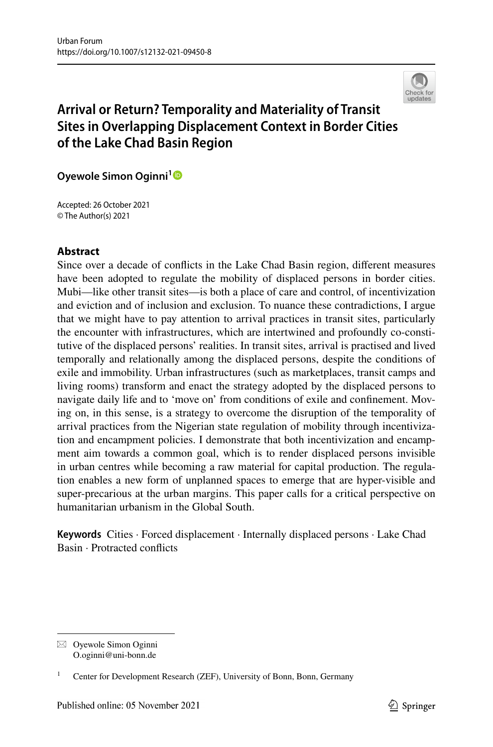

# **Arrival or Return? Temporality and Materiality of Transit Sites in Overlapping Displacement Context in Border Cities of the Lake Chad Basin Region**

**Oyewole Simon Oginni[1](http://orcid.org/0000-0003-3030-7890)**

Accepted: 26 October 2021 © The Author(s) 2021

# **Abstract**

Since over a decade of conficts in the Lake Chad Basin region, diferent measures have been adopted to regulate the mobility of displaced persons in border cities. Mubi—like other transit sites—is both a place of care and control, of incentivization and eviction and of inclusion and exclusion. To nuance these contradictions, I argue that we might have to pay attention to arrival practices in transit sites, particularly the encounter with infrastructures, which are intertwined and profoundly co-constitutive of the displaced persons' realities. In transit sites, arrival is practised and lived temporally and relationally among the displaced persons, despite the conditions of exile and immobility. Urban infrastructures (such as marketplaces, transit camps and living rooms) transform and enact the strategy adopted by the displaced persons to navigate daily life and to 'move on' from conditions of exile and confnement. Moving on, in this sense, is a strategy to overcome the disruption of the temporality of arrival practices from the Nigerian state regulation of mobility through incentivization and encampment policies. I demonstrate that both incentivization and encampment aim towards a common goal, which is to render displaced persons invisible in urban centres while becoming a raw material for capital production. The regulation enables a new form of unplanned spaces to emerge that are hyper-visible and super-precarious at the urban margins. This paper calls for a critical perspective on humanitarian urbanism in the Global South.

**Keywords** Cities · Forced displacement · Internally displaced persons · Lake Chad Basin · Protracted conficts

 $\boxtimes$  Oyewole Simon Oginni O.oginni@uni-bonn.de

<sup>1</sup> Center for Development Research (ZEF), University of Bonn, Bonn, Germany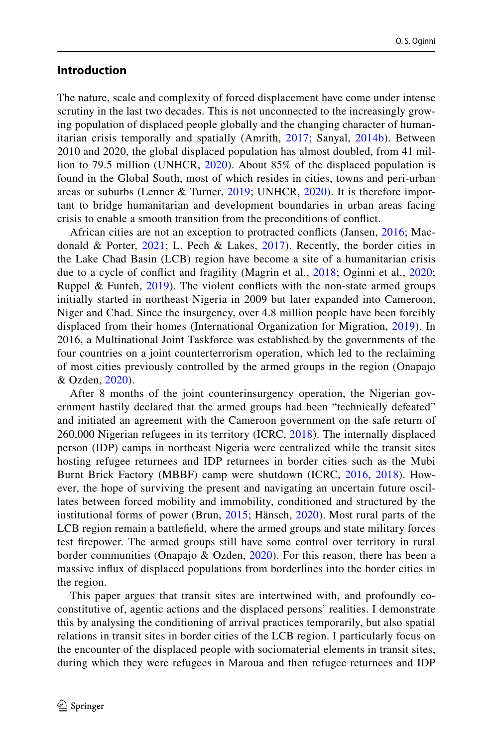## **Introduction**

The nature, scale and complexity of forced displacement have come under intense scrutiny in the last two decades. This is not unconnected to the increasingly growing population of displaced people globally and the changing character of humanitarian crisis temporally and spatially (Amrith, [2017](#page-18-0); Sanyal, [2014b\)](#page-21-0). Between 2010 and 2020, the global displaced population has almost doubled, from 41 million to 79.5 million (UNHCR, [2020\)](#page-21-1). About 85% of the displaced population is found in the Global South, most of which resides in cities, towns and peri-urban areas or suburbs (Lenner & Turner, [2019](#page-19-0); UNHCR, [2020\)](#page-21-1). It is therefore important to bridge humanitarian and development boundaries in urban areas facing crisis to enable a smooth transition from the preconditions of confict.

African cities are not an exception to protracted conficts (Jansen, [2016;](#page-19-1) Macdonald & Porter, [2021](#page-20-0); L. Pech & Lakes, [2017](#page-20-1)). Recently, the border cities in the Lake Chad Basin (LCB) region have become a site of a humanitarian crisis due to a cycle of confict and fragility (Magrin et al., [2018;](#page-20-2) Oginni et al., [2020;](#page-20-3) Ruppel & Funteh, [2019](#page-21-2)). The violent conficts with the non-state armed groups initially started in northeast Nigeria in 2009 but later expanded into Cameroon, Niger and Chad. Since the insurgency, over 4.8 million people have been forcibly displaced from their homes (International Organization for Migration, [2019](#page-19-2)). In 2016, a Multinational Joint Taskforce was established by the governments of the four countries on a joint counterterrorism operation, which led to the reclaiming of most cities previously controlled by the armed groups in the region (Onapajo & Ozden, [2020](#page-20-4)).

After 8 months of the joint counterinsurgency operation, the Nigerian government hastily declared that the armed groups had been "technically defeated" and initiated an agreement with the Cameroon government on the safe return of 260,000 Nigerian refugees in its territory (ICRC, [2018\)](#page-19-3). The internally displaced person (IDP) camps in northeast Nigeria were centralized while the transit sites hosting refugee returnees and IDP returnees in border cities such as the Mubi Burnt Brick Factory (MBBF) camp were shutdown (ICRC, [2016](#page-19-4), [2018\)](#page-19-3). However, the hope of surviving the present and navigating an uncertain future oscillates between forced mobility and immobility, conditioned and structured by the institutional forms of power (Brun, [2015](#page-19-5); Hänsch, [2020](#page-19-6)). Most rural parts of the LCB region remain a battlefeld, where the armed groups and state military forces test frepower. The armed groups still have some control over territory in rural border communities (Onapajo & Ozden, [2020](#page-20-4)). For this reason, there has been a massive infux of displaced populations from borderlines into the border cities in the region.

This paper argues that transit sites are intertwined with, and profoundly coconstitutive of, agentic actions and the displaced persons' realities. I demonstrate this by analysing the conditioning of arrival practices temporarily, but also spatial relations in transit sites in border cities of the LCB region. I particularly focus on the encounter of the displaced people with sociomaterial elements in transit sites, during which they were refugees in Maroua and then refugee returnees and IDP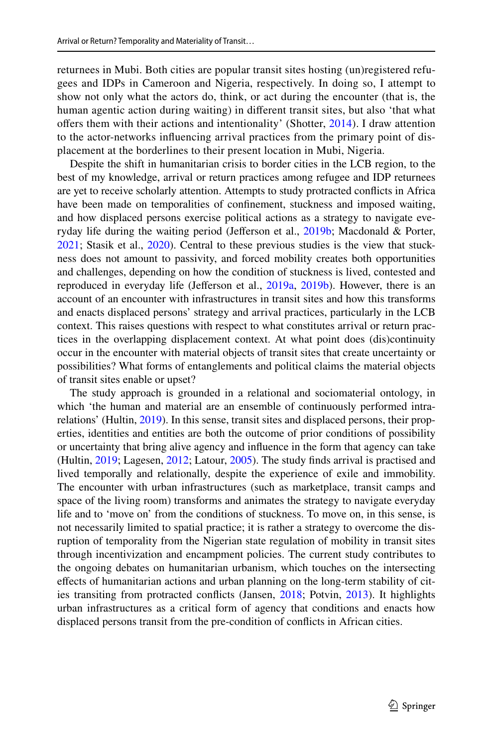returnees in Mubi. Both cities are popular transit sites hosting (un)registered refugees and IDPs in Cameroon and Nigeria, respectively. In doing so, I attempt to show not only what the actors do, think, or act during the encounter (that is, the human agentic action during waiting) in diferent transit sites, but also 'that what offers them with their actions and intentionality' (Shotter, [2014](#page-21-3)). I draw attention to the actor-networks infuencing arrival practices from the primary point of displacement at the borderlines to their present location in Mubi, Nigeria.

Despite the shift in humanitarian crisis to border cities in the LCB region, to the best of my knowledge, arrival or return practices among refugee and IDP returnees are yet to receive scholarly attention. Attempts to study protracted conficts in Africa have been made on temporalities of confnement, stuckness and imposed waiting, and how displaced persons exercise political actions as a strategy to navigate eve-ryday life during the waiting period (Jefferson et al., [2019b;](#page-19-7) Macdonald & Porter, [2021](#page-20-0); Stasik et al., [2020](#page-21-4)). Central to these previous studies is the view that stuckness does not amount to passivity, and forced mobility creates both opportunities and challenges, depending on how the condition of stuckness is lived, contested and reproduced in everyday life (Jeferson et al., [2019a](#page-19-8), [2019b](#page-19-7)). However, there is an account of an encounter with infrastructures in transit sites and how this transforms and enacts displaced persons' strategy and arrival practices, particularly in the LCB context. This raises questions with respect to what constitutes arrival or return practices in the overlapping displacement context. At what point does (dis)continuity occur in the encounter with material objects of transit sites that create uncertainty or possibilities? What forms of entanglements and political claims the material objects of transit sites enable or upset?

The study approach is grounded in a relational and sociomaterial ontology, in which 'the human and material are an ensemble of continuously performed intrarelations' (Hultin, [2019](#page-19-9)). In this sense, transit sites and displaced persons, their properties, identities and entities are both the outcome of prior conditions of possibility or uncertainty that bring alive agency and infuence in the form that agency can take (Hultin, [2019;](#page-19-9) Lagesen, [2012](#page-19-10); Latour, [2005\)](#page-19-11). The study fnds arrival is practised and lived temporally and relationally, despite the experience of exile and immobility. The encounter with urban infrastructures (such as marketplace, transit camps and space of the living room) transforms and animates the strategy to navigate everyday life and to 'move on' from the conditions of stuckness. To move on, in this sense, is not necessarily limited to spatial practice; it is rather a strategy to overcome the disruption of temporality from the Nigerian state regulation of mobility in transit sites through incentivization and encampment policies. The current study contributes to the ongoing debates on humanitarian urbanism, which touches on the intersecting efects of humanitarian actions and urban planning on the long-term stability of cities transiting from protracted conficts (Jansen, [2018](#page-19-12); Potvin, [2013\)](#page-20-5). It highlights urban infrastructures as a critical form of agency that conditions and enacts how displaced persons transit from the pre-condition of conficts in African cities.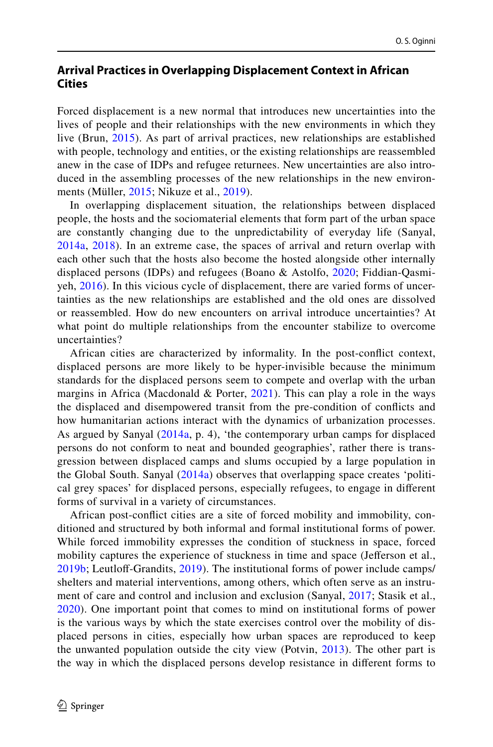# **Arrival Practices in Overlapping Displacement Context in African Cities**

Forced displacement is a new normal that introduces new uncertainties into the lives of people and their relationships with the new environments in which they live (Brun, [2015\)](#page-19-5). As part of arrival practices, new relationships are established with people, technology and entities, or the existing relationships are reassembled anew in the case of IDPs and refugee returnees. New uncertainties are also introduced in the assembling processes of the new relationships in the new environments (Müller, [2015](#page-20-6); Nikuze et al., [2019](#page-20-7)).

In overlapping displacement situation, the relationships between displaced people, the hosts and the sociomaterial elements that form part of the urban space are constantly changing due to the unpredictability of everyday life (Sanyal, [2014a](#page-21-5), [2018\)](#page-21-6). In an extreme case, the spaces of arrival and return overlap with each other such that the hosts also become the hosted alongside other internally displaced persons (IDPs) and refugees (Boano & Astolfo, [2020](#page-19-13); Fiddian-Qasmiyeh, [2016\)](#page-19-14). In this vicious cycle of displacement, there are varied forms of uncertainties as the new relationships are established and the old ones are dissolved or reassembled. How do new encounters on arrival introduce uncertainties? At what point do multiple relationships from the encounter stabilize to overcome uncertainties?

African cities are characterized by informality. In the post-confict context, displaced persons are more likely to be hyper-invisible because the minimum standards for the displaced persons seem to compete and overlap with the urban margins in Africa (Macdonald & Porter,  $2021$ ). This can play a role in the ways the displaced and disempowered transit from the pre-condition of conficts and how humanitarian actions interact with the dynamics of urbanization processes. As argued by Sanyal ([2014a,](#page-21-5) p. 4), 'the contemporary urban camps for displaced persons do not conform to neat and bounded geographies', rather there is transgression between displaced camps and slums occupied by a large population in the Global South. Sanyal [\(2014a\)](#page-21-5) observes that overlapping space creates 'political grey spaces' for displaced persons, especially refugees, to engage in diferent forms of survival in a variety of circumstances.

African post-confict cities are a site of forced mobility and immobility, conditioned and structured by both informal and formal institutional forms of power. While forced immobility expresses the condition of stuckness in space, forced mobility captures the experience of stuckness in time and space (Jeferson et al., [2019b;](#page-19-7) Leutloff-Grandits, [2019](#page-19-15)). The institutional forms of power include camps/ shelters and material interventions, among others, which often serve as an instrument of care and control and inclusion and exclusion (Sanyal, [2017](#page-21-7); Stasik et al., [2020\)](#page-21-4). One important point that comes to mind on institutional forms of power is the various ways by which the state exercises control over the mobility of displaced persons in cities, especially how urban spaces are reproduced to keep the unwanted population outside the city view (Potvin, [2013](#page-20-5)). The other part is the way in which the displaced persons develop resistance in diferent forms to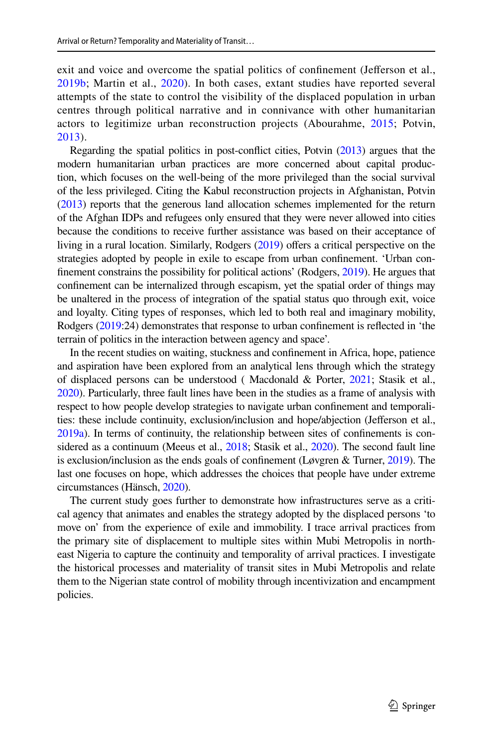exit and voice and overcome the spatial politics of confinement (Jefferson et al., [2019b;](#page-19-7) Martin et al., [2020](#page-20-8)). In both cases, extant studies have reported several attempts of the state to control the visibility of the displaced population in urban centres through political narrative and in connivance with other humanitarian actors to legitimize urban reconstruction projects (Abourahme, [2015](#page-18-1); Potvin, [2013\)](#page-20-5).

Regarding the spatial politics in post-confict cities, Potvin [\(2013\)](#page-20-5) argues that the modern humanitarian urban practices are more concerned about capital production, which focuses on the well-being of the more privileged than the social survival of the less privileged. Citing the Kabul reconstruction projects in Afghanistan, Potvin [\(2013\)](#page-20-5) reports that the generous land allocation schemes implemented for the return of the Afghan IDPs and refugees only ensured that they were never allowed into cities because the conditions to receive further assistance was based on their acceptance of living in a rural location. Similarly, Rodgers [\(2019](#page-21-8)) offers a critical perspective on the strategies adopted by people in exile to escape from urban confnement. 'Urban confnement constrains the possibility for political actions' (Rodgers, [2019\)](#page-21-8). He argues that confnement can be internalized through escapism, yet the spatial order of things may be unaltered in the process of integration of the spatial status quo through exit, voice and loyalty. Citing types of responses, which led to both real and imaginary mobility, Rodgers ([2019](#page-21-8):24) demonstrates that response to urban confnement is refected in 'the terrain of politics in the interaction between agency and space'.

In the recent studies on waiting, stuckness and confnement in Africa, hope, patience and aspiration have been explored from an analytical lens through which the strategy of displaced persons can be understood ( Macdonald & Porter, [2021](#page-20-0); Stasik et al., [2020](#page-21-4)). Particularly, three fault lines have been in the studies as a frame of analysis with respect to how people develop strategies to navigate urban confnement and temporalities: these include continuity, exclusion/inclusion and hope/abjection (Jeferson et al., [2019a\)](#page-19-8). In terms of continuity, the relationship between sites of confnements is considered as a continuum (Meeus et al., [2018;](#page-20-9) Stasik et al., [2020\)](#page-21-4). The second fault line is exclusion/inclusion as the ends goals of confnement (Løvgren & Turner, [2019](#page-19-16)). The last one focuses on hope, which addresses the choices that people have under extreme circumstances (Hänsch, [2020\)](#page-19-6).

The current study goes further to demonstrate how infrastructures serve as a critical agency that animates and enables the strategy adopted by the displaced persons 'to move on' from the experience of exile and immobility. I trace arrival practices from the primary site of displacement to multiple sites within Mubi Metropolis in northeast Nigeria to capture the continuity and temporality of arrival practices. I investigate the historical processes and materiality of transit sites in Mubi Metropolis and relate them to the Nigerian state control of mobility through incentivization and encampment policies.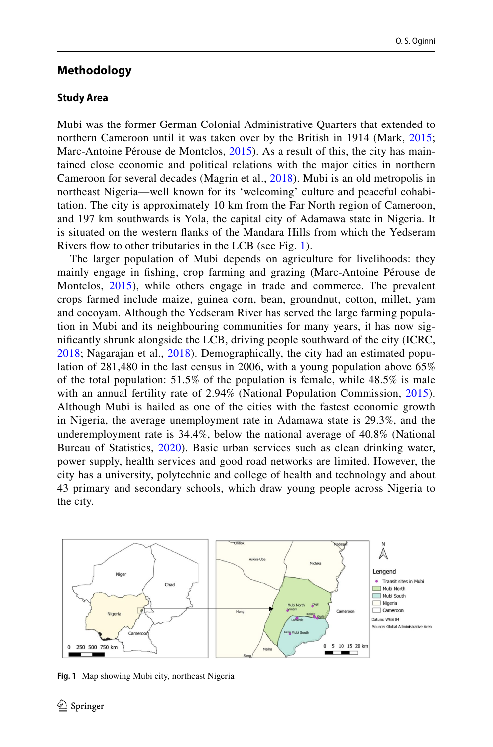# **Methodology**

### **Study Area**

Mubi was the former German Colonial Administrative Quarters that extended to northern Cameroon until it was taken over by the British in 1914 (Mark, [2015;](#page-20-10) Marc-Antoine Pérouse de Montclos, [2015\)](#page-20-11). As a result of this, the city has maintained close economic and political relations with the major cities in northern Cameroon for several decades (Magrin et al., [2018](#page-20-2)). Mubi is an old metropolis in northeast Nigeria—well known for its 'welcoming' culture and peaceful cohabitation. The city is approximately 10 km from the Far North region of Cameroon, and 197 km southwards is Yola, the capital city of Adamawa state in Nigeria. It is situated on the western fanks of the Mandara Hills from which the Yedseram Rivers flow to other tributaries in the LCB (see Fig. [1\)](#page-5-0).

The larger population of Mubi depends on agriculture for livelihoods: they mainly engage in fshing, crop farming and grazing (Marc-Antoine Pérouse de Montclos, [2015](#page-20-11)), while others engage in trade and commerce. The prevalent crops farmed include maize, guinea corn, bean, groundnut, cotton, millet, yam and cocoyam. Although the Yedseram River has served the large farming population in Mubi and its neighbouring communities for many years, it has now signifcantly shrunk alongside the LCB, driving people southward of the city (ICRC, [2018;](#page-19-3) Nagarajan et al., [2018](#page-20-12)). Demographically, the city had an estimated population of 281,480 in the last census in 2006, with a young population above 65% of the total population: 51.5% of the population is female, while 48.5% is male with an annual fertility rate of 2.94% (National Population Commission, [2015](#page-20-13)). Although Mubi is hailed as one of the cities with the fastest economic growth in Nigeria, the average unemployment rate in Adamawa state is 29.3%, and the underemployment rate is 34.4%, below the national average of 40.8% (National Bureau of Statistics, [2020\)](#page-20-14). Basic urban services such as clean drinking water, power supply, health services and good road networks are limited. However, the city has a university, polytechnic and college of health and technology and about 43 primary and secondary schools, which draw young people across Nigeria to the city.



<span id="page-5-0"></span>**Fig. 1** Map showing Mubi city, northeast Nigeria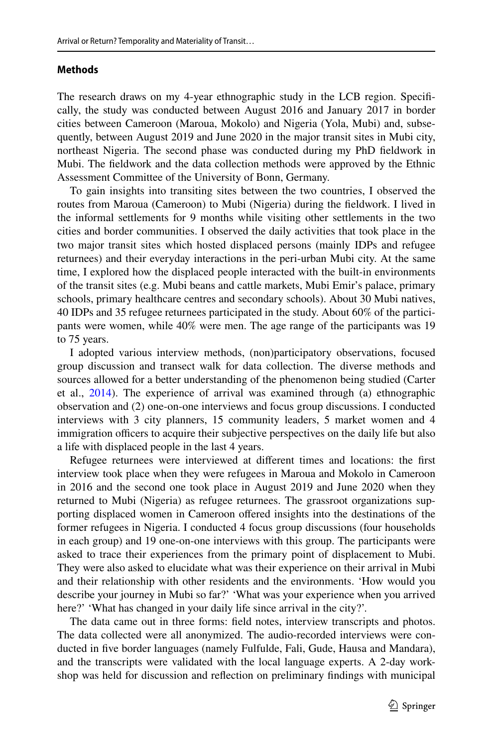### **Methods**

The research draws on my 4-year ethnographic study in the LCB region. Specifcally, the study was conducted between August 2016 and January 2017 in border cities between Cameroon (Maroua, Mokolo) and Nigeria (Yola, Mubi) and, subsequently, between August 2019 and June 2020 in the major transit sites in Mubi city, northeast Nigeria. The second phase was conducted during my PhD feldwork in Mubi. The feldwork and the data collection methods were approved by the Ethnic Assessment Committee of the University of Bonn, Germany.

To gain insights into transiting sites between the two countries, I observed the routes from Maroua (Cameroon) to Mubi (Nigeria) during the feldwork. I lived in the informal settlements for 9 months while visiting other settlements in the two cities and border communities. I observed the daily activities that took place in the two major transit sites which hosted displaced persons (mainly IDPs and refugee returnees) and their everyday interactions in the peri-urban Mubi city. At the same time, I explored how the displaced people interacted with the built-in environments of the transit sites (e.g. Mubi beans and cattle markets, Mubi Emir's palace, primary schools, primary healthcare centres and secondary schools). About 30 Mubi natives, 40 IDPs and 35 refugee returnees participated in the study. About 60% of the participants were women, while 40% were men. The age range of the participants was 19 to 75 years.

I adopted various interview methods, (non)participatory observations, focused group discussion and transect walk for data collection. The diverse methods and sources allowed for a better understanding of the phenomenon being studied (Carter et al., [2014\)](#page-19-17). The experience of arrival was examined through (a) ethnographic observation and (2) one-on-one interviews and focus group discussions. I conducted interviews with 3 city planners, 15 community leaders, 5 market women and 4 immigration officers to acquire their subjective perspectives on the daily life but also a life with displaced people in the last 4 years.

Refugee returnees were interviewed at diferent times and locations: the frst interview took place when they were refugees in Maroua and Mokolo in Cameroon in 2016 and the second one took place in August 2019 and June 2020 when they returned to Mubi (Nigeria) as refugee returnees. The grassroot organizations supporting displaced women in Cameroon ofered insights into the destinations of the former refugees in Nigeria. I conducted 4 focus group discussions (four households in each group) and 19 one-on-one interviews with this group. The participants were asked to trace their experiences from the primary point of displacement to Mubi. They were also asked to elucidate what was their experience on their arrival in Mubi and their relationship with other residents and the environments. 'How would you describe your journey in Mubi so far?' 'What was your experience when you arrived here?' 'What has changed in your daily life since arrival in the city?'.

The data came out in three forms: feld notes, interview transcripts and photos. The data collected were all anonymized. The audio-recorded interviews were conducted in fve border languages (namely Fulfulde, Fali, Gude, Hausa and Mandara), and the transcripts were validated with the local language experts. A 2-day workshop was held for discussion and refection on preliminary fndings with municipal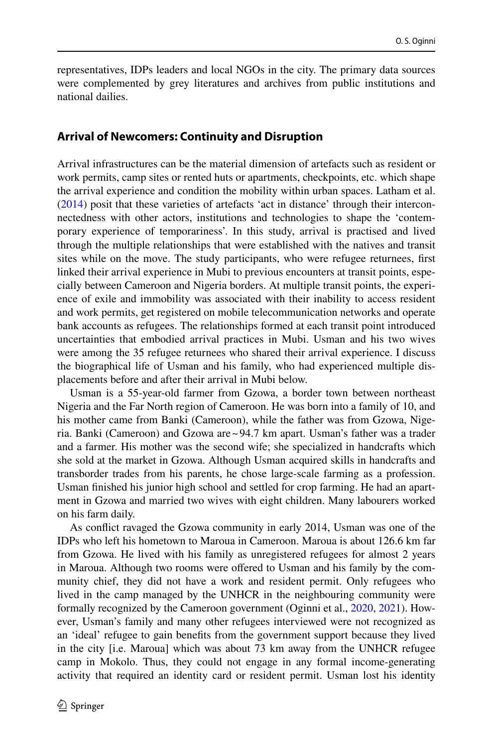representatives, IDPs leaders and local NGOs in the city. The primary data sources were complemented by grey literatures and archives from public institutions and national dailies.

### **Arrival of Newcomers: Continuity and Disruption**

Arrival infrastructures can be the material dimension of artefacts such as resident or work permits, camp sites or rented huts or apartments, checkpoints, etc. which shape the arrival experience and condition the mobility within urban spaces. Latham et al. [\(2014](#page-19-18)) posit that these varieties of artefacts 'act in distance' through their interconnectedness with other actors, institutions and technologies to shape the 'contemporary experience of temporariness'. In this study, arrival is practised and lived through the multiple relationships that were established with the natives and transit sites while on the move. The study participants, who were refugee returnees, frst linked their arrival experience in Mubi to previous encounters at transit points, especially between Cameroon and Nigeria borders. At multiple transit points, the experience of exile and immobility was associated with their inability to access resident and work permits, get registered on mobile telecommunication networks and operate bank accounts as refugees. The relationships formed at each transit point introduced uncertainties that embodied arrival practices in Mubi. Usman and his two wives were among the 35 refugee returnees who shared their arrival experience. I discuss the biographical life of Usman and his family, who had experienced multiple displacements before and after their arrival in Mubi below.

Usman is a 55-year-old farmer from Gzowa, a border town between northeast Nigeria and the Far North region of Cameroon. He was born into a family of 10, and his mother came from Banki (Cameroon), while the father was from Gzowa, Nigeria. Banki (Cameroon) and Gzowa are~94.7 km apart. Usman's father was a trader and a farmer. His mother was the second wife; she specialized in handcrafts which she sold at the market in Gzowa. Although Usman acquired skills in handcrafts and transborder trades from his parents, he chose large-scale farming as a profession. Usman fnished his junior high school and settled for crop farming. He had an apartment in Gzowa and married two wives with eight children. Many labourers worked on his farm daily.

As confict ravaged the Gzowa community in early 2014, Usman was one of the IDPs who left his hometown to Maroua in Cameroon. Maroua is about 126.6 km far from Gzowa. He lived with his family as unregistered refugees for almost 2 years in Maroua. Although two rooms were ofered to Usman and his family by the community chief, they did not have a work and resident permit. Only refugees who lived in the camp managed by the UNHCR in the neighbouring community were formally recognized by the Cameroon government (Oginni et al., [2020,](#page-20-3) [2021\)](#page-20-15). However, Usman's family and many other refugees interviewed were not recognized as an 'ideal' refugee to gain benefts from the government support because they lived in the city [i.e. Maroua] which was about 73 km away from the UNHCR refugee camp in Mokolo. Thus, they could not engage in any formal income-generating activity that required an identity card or resident permit. Usman lost his identity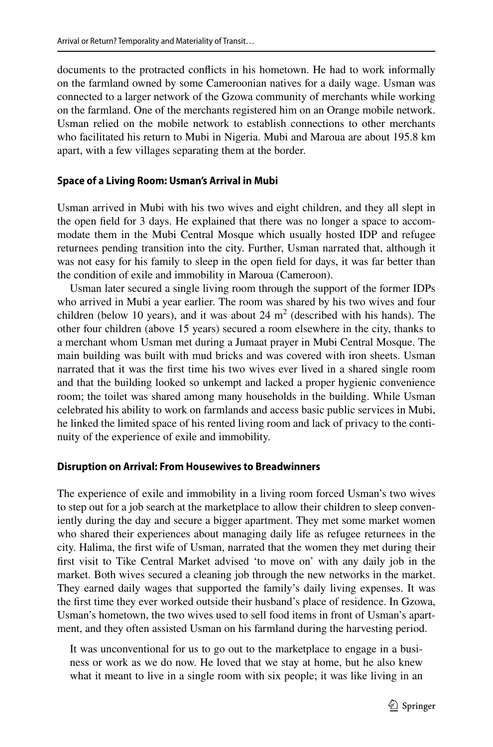documents to the protracted conficts in his hometown. He had to work informally on the farmland owned by some Cameroonian natives for a daily wage. Usman was connected to a larger network of the Gzowa community of merchants while working on the farmland. One of the merchants registered him on an Orange mobile network. Usman relied on the mobile network to establish connections to other merchants who facilitated his return to Mubi in Nigeria. Mubi and Maroua are about 195.8 km apart, with a few villages separating them at the border.

### **Space of a Living Room: Usman's Arrival in Mubi**

Usman arrived in Mubi with his two wives and eight children, and they all slept in the open feld for 3 days. He explained that there was no longer a space to accommodate them in the Mubi Central Mosque which usually hosted IDP and refugee returnees pending transition into the city. Further, Usman narrated that, although it was not easy for his family to sleep in the open feld for days, it was far better than the condition of exile and immobility in Maroua (Cameroon).

Usman later secured a single living room through the support of the former IDPs who arrived in Mubi a year earlier. The room was shared by his two wives and four children (below 10 years), and it was about 24  $m<sup>2</sup>$  (described with his hands). The other four children (above 15 years) secured a room elsewhere in the city, thanks to a merchant whom Usman met during a Jumaat prayer in Mubi Central Mosque. The main building was built with mud bricks and was covered with iron sheets. Usman narrated that it was the frst time his two wives ever lived in a shared single room and that the building looked so unkempt and lacked a proper hygienic convenience room; the toilet was shared among many households in the building. While Usman celebrated his ability to work on farmlands and access basic public services in Mubi, he linked the limited space of his rented living room and lack of privacy to the continuity of the experience of exile and immobility.

#### **Disruption on Arrival: From Housewives to Breadwinners**

The experience of exile and immobility in a living room forced Usman's two wives to step out for a job search at the marketplace to allow their children to sleep conveniently during the day and secure a bigger apartment. They met some market women who shared their experiences about managing daily life as refugee returnees in the city. Halima, the frst wife of Usman, narrated that the women they met during their frst visit to Tike Central Market advised 'to move on' with any daily job in the market. Both wives secured a cleaning job through the new networks in the market. They earned daily wages that supported the family's daily living expenses. It was the frst time they ever worked outside their husband's place of residence. In Gzowa, Usman's hometown, the two wives used to sell food items in front of Usman's apartment, and they often assisted Usman on his farmland during the harvesting period.

It was unconventional for us to go out to the marketplace to engage in a business or work as we do now. He loved that we stay at home, but he also knew what it meant to live in a single room with six people; it was like living in an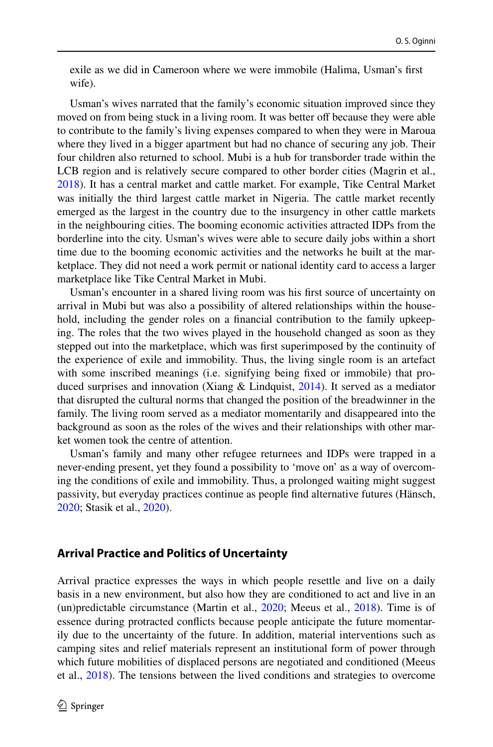exile as we did in Cameroon where we were immobile (Halima, Usman's frst wife).

Usman's wives narrated that the family's economic situation improved since they moved on from being stuck in a living room. It was better off because they were able to contribute to the family's living expenses compared to when they were in Maroua where they lived in a bigger apartment but had no chance of securing any job. Their four children also returned to school. Mubi is a hub for transborder trade within the LCB region and is relatively secure compared to other border cities (Magrin et al., [2018](#page-20-2)). It has a central market and cattle market. For example, Tike Central Market was initially the third largest cattle market in Nigeria. The cattle market recently emerged as the largest in the country due to the insurgency in other cattle markets in the neighbouring cities. The booming economic activities attracted IDPs from the borderline into the city. Usman's wives were able to secure daily jobs within a short time due to the booming economic activities and the networks he built at the marketplace. They did not need a work permit or national identity card to access a larger marketplace like Tike Central Market in Mubi.

Usman's encounter in a shared living room was his frst source of uncertainty on arrival in Mubi but was also a possibility of altered relationships within the household, including the gender roles on a fnancial contribution to the family upkeeping. The roles that the two wives played in the household changed as soon as they stepped out into the marketplace, which was frst superimposed by the continuity of the experience of exile and immobility. Thus, the living single room is an artefact with some inscribed meanings (i.e. signifying being fxed or immobile) that produced surprises and innovation (Xiang  $\&$  Lindquist, [2014](#page-21-9)). It served as a mediator that disrupted the cultural norms that changed the position of the breadwinner in the family. The living room served as a mediator momentarily and disappeared into the background as soon as the roles of the wives and their relationships with other market women took the centre of attention.

Usman's family and many other refugee returnees and IDPs were trapped in a never-ending present, yet they found a possibility to 'move on' as a way of overcoming the conditions of exile and immobility. Thus, a prolonged waiting might suggest passivity, but everyday practices continue as people fnd alternative futures (Hänsch, [2020](#page-19-6); Stasik et al., [2020\)](#page-21-4).

### **Arrival Practice and Politics of Uncertainty**

Arrival practice expresses the ways in which people resettle and live on a daily basis in a new environment, but also how they are conditioned to act and live in an (un)predictable circumstance (Martin et al., [2020;](#page-20-8) Meeus et al., [2018\)](#page-20-9). Time is of essence during protracted conficts because people anticipate the future momentarily due to the uncertainty of the future. In addition, material interventions such as camping sites and relief materials represent an institutional form of power through which future mobilities of displaced persons are negotiated and conditioned (Meeus et al., [2018\)](#page-20-9). The tensions between the lived conditions and strategies to overcome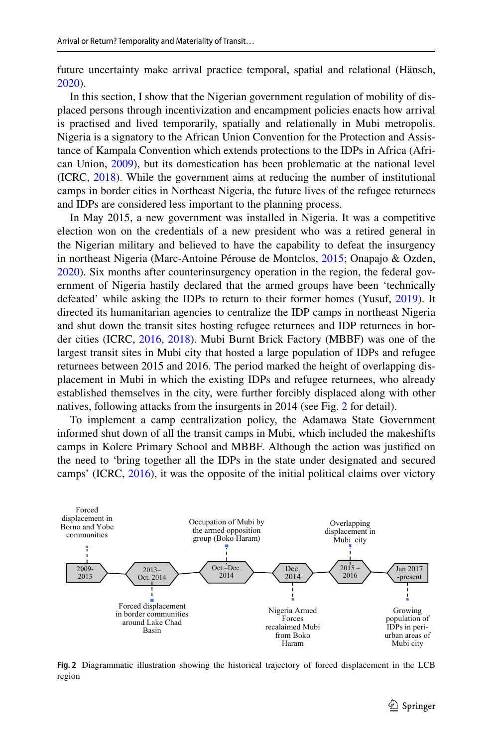future uncertainty make arrival practice temporal, spatial and relational (Hänsch, [2020](#page-19-6)).

In this section, I show that the Nigerian government regulation of mobility of displaced persons through incentivization and encampment policies enacts how arrival is practised and lived temporarily, spatially and relationally in Mubi metropolis. Nigeria is a signatory to the African Union Convention for the Protection and Assistance of Kampala Convention which extends protections to the IDPs in Africa (African Union, [2009](#page-18-2)), but its domestication has been problematic at the national level (ICRC, [2018](#page-19-3)). While the government aims at reducing the number of institutional camps in border cities in Northeast Nigeria, the future lives of the refugee returnees and IDPs are considered less important to the planning process.

In May 2015, a new government was installed in Nigeria. It was a competitive election won on the credentials of a new president who was a retired general in the Nigerian military and believed to have the capability to defeat the insurgency in northeast Nigeria (Marc-Antoine Pérouse de Montclos, [2015;](#page-20-11) Onapajo & Ozden, [2020](#page-20-4)). Six months after counterinsurgency operation in the region, the federal government of Nigeria hastily declared that the armed groups have been 'technically defeated' while asking the IDPs to return to their former homes (Yusuf, [2019\)](#page-21-10). It directed its humanitarian agencies to centralize the IDP camps in northeast Nigeria and shut down the transit sites hosting refugee returnees and IDP returnees in border cities (ICRC, [2016,](#page-19-4) [2018\)](#page-19-3). Mubi Burnt Brick Factory (MBBF) was one of the largest transit sites in Mubi city that hosted a large population of IDPs and refugee returnees between 2015 and 2016. The period marked the height of overlapping displacement in Mubi in which the existing IDPs and refugee returnees, who already established themselves in the city, were further forcibly displaced along with other natives, following attacks from the insurgents in 2014 (see Fig. [2](#page-10-0) for detail).

To implement a camp centralization policy, the Adamawa State Government informed shut down of all the transit camps in Mubi, which included the makeshifts camps in Kolere Primary School and MBBF. Although the action was justifed on the need to 'bring together all the IDPs in the state under designated and secured camps' (ICRC, [2016](#page-19-4)), it was the opposite of the initial political claims over victory



<span id="page-10-0"></span>**Fig. 2** Diagrammatic illustration showing the historical trajectory of forced displacement in the LCB region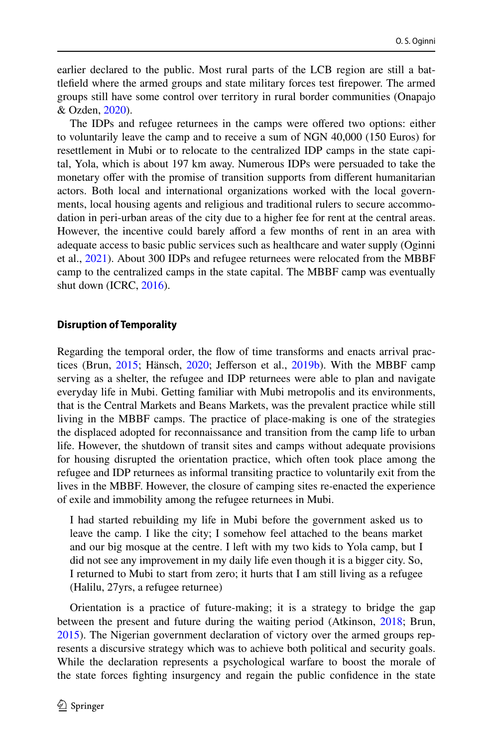earlier declared to the public. Most rural parts of the LCB region are still a battlefeld where the armed groups and state military forces test frepower. The armed groups still have some control over territory in rural border communities (Onapajo & Ozden, [2020](#page-20-4)).

The IDPs and refugee returnees in the camps were offered two options: either to voluntarily leave the camp and to receive a sum of NGN 40,000 (150 Euros) for resettlement in Mubi or to relocate to the centralized IDP camps in the state capital, Yola, which is about 197 km away. Numerous IDPs were persuaded to take the monetary offer with the promise of transition supports from different humanitarian actors. Both local and international organizations worked with the local governments, local housing agents and religious and traditional rulers to secure accommodation in peri-urban areas of the city due to a higher fee for rent at the central areas. However, the incentive could barely aford a few months of rent in an area with adequate access to basic public services such as healthcare and water supply (Oginni et al., [2021\)](#page-20-15). About 300 IDPs and refugee returnees were relocated from the MBBF camp to the centralized camps in the state capital. The MBBF camp was eventually shut down (ICRC, [2016](#page-19-4)).

#### **Disruption of Temporality**

Regarding the temporal order, the fow of time transforms and enacts arrival practices (Brun, [2015](#page-19-5); Hänsch, [2020](#page-19-6); Jeferson et al., [2019b](#page-19-7)). With the MBBF camp serving as a shelter, the refugee and IDP returnees were able to plan and navigate everyday life in Mubi. Getting familiar with Mubi metropolis and its environments, that is the Central Markets and Beans Markets, was the prevalent practice while still living in the MBBF camps. The practice of place-making is one of the strategies the displaced adopted for reconnaissance and transition from the camp life to urban life. However, the shutdown of transit sites and camps without adequate provisions for housing disrupted the orientation practice, which often took place among the refugee and IDP returnees as informal transiting practice to voluntarily exit from the lives in the MBBF. However, the closure of camping sites re-enacted the experience of exile and immobility among the refugee returnees in Mubi.

I had started rebuilding my life in Mubi before the government asked us to leave the camp. I like the city; I somehow feel attached to the beans market and our big mosque at the centre. I left with my two kids to Yola camp, but I did not see any improvement in my daily life even though it is a bigger city. So, I returned to Mubi to start from zero; it hurts that I am still living as a refugee (Halilu, 27yrs, a refugee returnee)

Orientation is a practice of future-making; it is a strategy to bridge the gap between the present and future during the waiting period (Atkinson, [2018;](#page-18-3) Brun, [2015](#page-19-5)). The Nigerian government declaration of victory over the armed groups represents a discursive strategy which was to achieve both political and security goals. While the declaration represents a psychological warfare to boost the morale of the state forces fghting insurgency and regain the public confdence in the state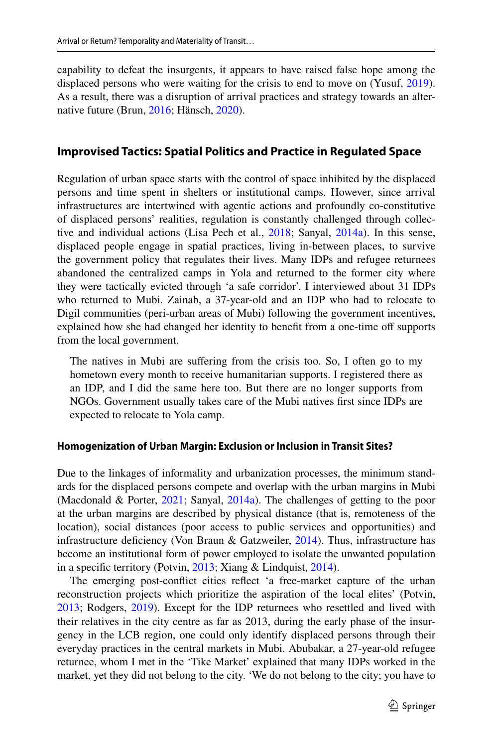capability to defeat the insurgents, it appears to have raised false hope among the displaced persons who were waiting for the crisis to end to move on (Yusuf, [2019\)](#page-21-10). As a result, there was a disruption of arrival practices and strategy towards an alternative future (Brun, [2016;](#page-19-19) Hänsch, [2020\)](#page-19-6).

# **Improvised Tactics: Spatial Politics and Practice in Regulated Space**

Regulation of urban space starts with the control of space inhibited by the displaced persons and time spent in shelters or institutional camps. However, since arrival infrastructures are intertwined with agentic actions and profoundly co-constitutive of displaced persons' realities, regulation is constantly challenged through collective and individual actions (Lisa Pech et al., [2018](#page-20-16); Sanyal, [2014a\)](#page-21-5). In this sense, displaced people engage in spatial practices, living in-between places, to survive the government policy that regulates their lives. Many IDPs and refugee returnees abandoned the centralized camps in Yola and returned to the former city where they were tactically evicted through 'a safe corridor'. I interviewed about 31 IDPs who returned to Mubi. Zainab, a 37-year-old and an IDP who had to relocate to Digil communities (peri-urban areas of Mubi) following the government incentives, explained how she had changed her identity to benefit from a one-time off supports from the local government.

The natives in Mubi are suffering from the crisis too. So, I often go to my hometown every month to receive humanitarian supports. I registered there as an IDP, and I did the same here too. But there are no longer supports from NGOs. Government usually takes care of the Mubi natives frst since IDPs are expected to relocate to Yola camp.

### **Homogenization of Urban Margin: Exclusion or Inclusion in Transit Sites?**

Due to the linkages of informality and urbanization processes, the minimum standards for the displaced persons compete and overlap with the urban margins in Mubi (Macdonald & Porter, [2021;](#page-20-0) Sanyal, [2014a](#page-21-5)). The challenges of getting to the poor at the urban margins are described by physical distance (that is, remoteness of the location), social distances (poor access to public services and opportunities) and infrastructure deficiency (Von Braun & Gatzweiler, [2014](#page-21-11)). Thus, infrastructure has become an institutional form of power employed to isolate the unwanted population in a specifc territory (Potvin, [2013](#page-20-5); Xiang & Lindquist, [2014](#page-21-9)).

The emerging post-confict cities refect 'a free-market capture of the urban reconstruction projects which prioritize the aspiration of the local elites' (Potvin, [2013](#page-20-5); Rodgers, [2019\)](#page-21-8). Except for the IDP returnees who resettled and lived with their relatives in the city centre as far as 2013, during the early phase of the insurgency in the LCB region, one could only identify displaced persons through their everyday practices in the central markets in Mubi. Abubakar, a 27-year-old refugee returnee, whom I met in the 'Tike Market' explained that many IDPs worked in the market, yet they did not belong to the city. 'We do not belong to the city; you have to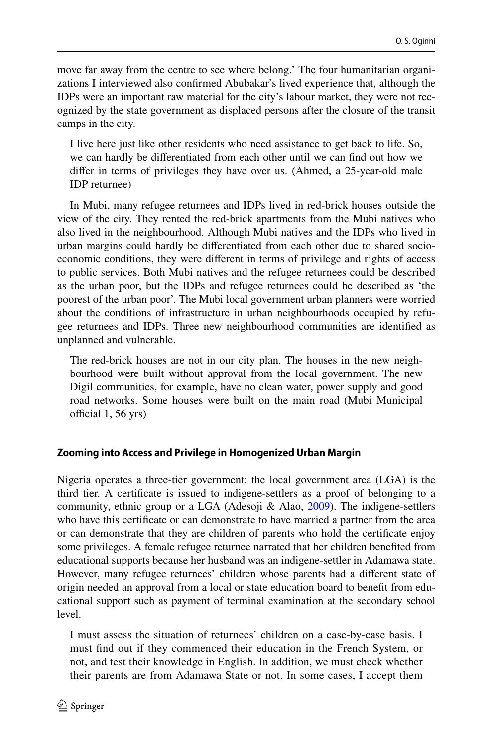move far away from the centre to see where belong.' The four humanitarian organizations I interviewed also confrmed Abubakar's lived experience that, although the IDPs were an important raw material for the city's labour market, they were not recognized by the state government as displaced persons after the closure of the transit camps in the city.

I live here just like other residents who need assistance to get back to life. So, we can hardly be diferentiated from each other until we can fnd out how we difer in terms of privileges they have over us. (Ahmed, a 25-year-old male IDP returnee)

In Mubi, many refugee returnees and IDPs lived in red-brick houses outside the view of the city. They rented the red-brick apartments from the Mubi natives who also lived in the neighbourhood. Although Mubi natives and the IDPs who lived in urban margins could hardly be diferentiated from each other due to shared socioeconomic conditions, they were diferent in terms of privilege and rights of access to public services. Both Mubi natives and the refugee returnees could be described as the urban poor, but the IDPs and refugee returnees could be described as 'the poorest of the urban poor'. The Mubi local government urban planners were worried about the conditions of infrastructure in urban neighbourhoods occupied by refugee returnees and IDPs. Three new neighbourhood communities are identifed as unplanned and vulnerable.

The red-brick houses are not in our city plan. The houses in the new neighbourhood were built without approval from the local government. The new Digil communities, for example, have no clean water, power supply and good road networks. Some houses were built on the main road (Mubi Municipal official  $1, 56$  yrs)

### **Zooming into Access and Privilege in Homogenized Urban Margin**

Nigeria operates a three-tier government: the local government area (LGA) is the third tier. A certifcate is issued to indigene-settlers as a proof of belonging to a community, ethnic group or a LGA (Adesoji & Alao, [2009](#page-18-4)). The indigene-settlers who have this certifcate or can demonstrate to have married a partner from the area or can demonstrate that they are children of parents who hold the certifcate enjoy some privileges. A female refugee returnee narrated that her children benefted from educational supports because her husband was an indigene-settler in Adamawa state. However, many refugee returnees' children whose parents had a diferent state of origin needed an approval from a local or state education board to beneft from educational support such as payment of terminal examination at the secondary school level.

I must assess the situation of returnees' children on a case-by-case basis. I must fnd out if they commenced their education in the French System, or not, and test their knowledge in English. In addition, we must check whether their parents are from Adamawa State or not. In some cases, I accept them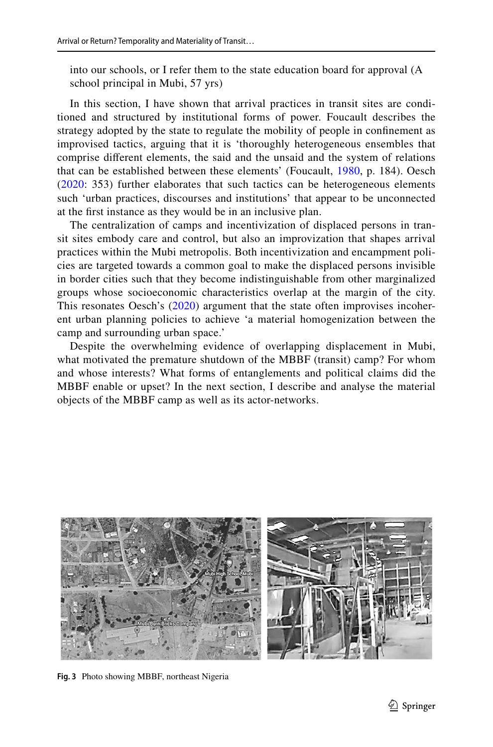into our schools, or I refer them to the state education board for approval (A school principal in Mubi, 57 yrs)

In this section, I have shown that arrival practices in transit sites are conditioned and structured by institutional forms of power. Foucault describes the strategy adopted by the state to regulate the mobility of people in confnement as improvised tactics, arguing that it is 'thoroughly heterogeneous ensembles that comprise diferent elements, the said and the unsaid and the system of relations that can be established between these elements' (Foucault, [1980](#page-19-20), p. 184). Oesch [\(2020](#page-20-17): 353) further elaborates that such tactics can be heterogeneous elements such 'urban practices, discourses and institutions' that appear to be unconnected at the frst instance as they would be in an inclusive plan.

The centralization of camps and incentivization of displaced persons in transit sites embody care and control, but also an improvization that shapes arrival practices within the Mubi metropolis. Both incentivization and encampment policies are targeted towards a common goal to make the displaced persons invisible in border cities such that they become indistinguishable from other marginalized groups whose socioeconomic characteristics overlap at the margin of the city. This resonates Oesch's ([2020](#page-20-17)) argument that the state often improvises incoherent urban planning policies to achieve 'a material homogenization between the camp and surrounding urban space.'

Despite the overwhelming evidence of overlapping displacement in Mubi, what motivated the premature shutdown of the MBBF (transit) camp? For whom and whose interests? What forms of entanglements and political claims did the MBBF enable or upset? In the next section, I describe and analyse the material objects of the MBBF camp as well as its actor-networks.

<span id="page-14-0"></span>

**Fig. 3** Photo showing MBBF, northeast Nigeria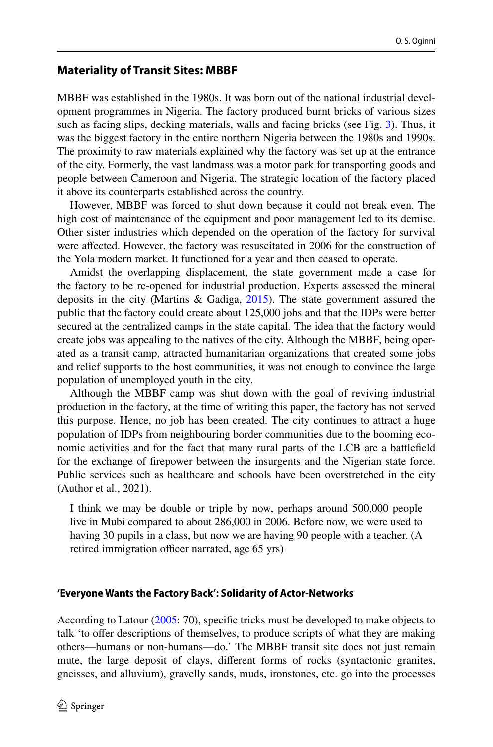# **Materiality of Transit Sites: MBBF**

MBBF was established in the 1980s. It was born out of the national industrial development programmes in Nigeria. The factory produced burnt bricks of various sizes such as facing slips, decking materials, walls and facing bricks (see Fig. [3\)](#page-14-0). Thus, it was the biggest factory in the entire northern Nigeria between the 1980s and 1990s. The proximity to raw materials explained why the factory was set up at the entrance of the city. Formerly, the vast landmass was a motor park for transporting goods and people between Cameroon and Nigeria. The strategic location of the factory placed it above its counterparts established across the country.

However, MBBF was forced to shut down because it could not break even. The high cost of maintenance of the equipment and poor management led to its demise. Other sister industries which depended on the operation of the factory for survival were afected. However, the factory was resuscitated in 2006 for the construction of the Yola modern market. It functioned for a year and then ceased to operate.

Amidst the overlapping displacement, the state government made a case for the factory to be re-opened for industrial production. Experts assessed the mineral deposits in the city (Martins & Gadiga, [2015\)](#page-20-18). The state government assured the public that the factory could create about 125,000 jobs and that the IDPs were better secured at the centralized camps in the state capital. The idea that the factory would create jobs was appealing to the natives of the city. Although the MBBF, being operated as a transit camp, attracted humanitarian organizations that created some jobs and relief supports to the host communities, it was not enough to convince the large population of unemployed youth in the city.

Although the MBBF camp was shut down with the goal of reviving industrial production in the factory, at the time of writing this paper, the factory has not served this purpose. Hence, no job has been created. The city continues to attract a huge population of IDPs from neighbouring border communities due to the booming economic activities and for the fact that many rural parts of the LCB are a battlefeld for the exchange of frepower between the insurgents and the Nigerian state force. Public services such as healthcare and schools have been overstretched in the city (Author et al., 2021).

I think we may be double or triple by now, perhaps around 500,000 people live in Mubi compared to about 286,000 in 2006. Before now, we were used to having 30 pupils in a class, but now we are having 90 people with a teacher. (A retired immigration officer narrated, age 65 yrs)

### **'Everyone Wants the Factory Back': Solidarity of Actor‑Networks**

According to Latour [\(2005](#page-19-11): 70), specifc tricks must be developed to make objects to talk 'to offer descriptions of themselves, to produce scripts of what they are making others—humans or non-humans—do.' The MBBF transit site does not just remain mute, the large deposit of clays, diferent forms of rocks (syntactonic granites, gneisses, and alluvium), gravelly sands, muds, ironstones, etc. go into the processes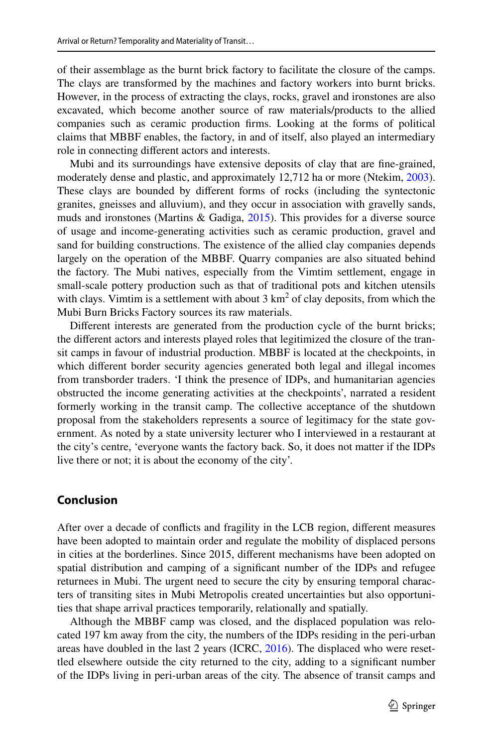of their assemblage as the burnt brick factory to facilitate the closure of the camps. The clays are transformed by the machines and factory workers into burnt bricks. However, in the process of extracting the clays, rocks, gravel and ironstones are also excavated, which become another source of raw materials/products to the allied companies such as ceramic production frms. Looking at the forms of political claims that MBBF enables, the factory, in and of itself, also played an intermediary role in connecting diferent actors and interests.

Mubi and its surroundings have extensive deposits of clay that are fne-grained, moderately dense and plastic, and approximately 12,712 ha or more (Ntekim, [2003\)](#page-20-19). These clays are bounded by diferent forms of rocks (including the syntectonic granites, gneisses and alluvium), and they occur in association with gravelly sands, muds and ironstones (Martins & Gadiga, [2015\)](#page-20-18). This provides for a diverse source of usage and income-generating activities such as ceramic production, gravel and sand for building constructions. The existence of the allied clay companies depends largely on the operation of the MBBF. Quarry companies are also situated behind the factory. The Mubi natives, especially from the Vimtim settlement, engage in small-scale pottery production such as that of traditional pots and kitchen utensils with clays. Vimtim is a settlement with about  $3 \text{ km}^2$  of clay deposits, from which the Mubi Burn Bricks Factory sources its raw materials.

Diferent interests are generated from the production cycle of the burnt bricks; the diferent actors and interests played roles that legitimized the closure of the transit camps in favour of industrial production. MBBF is located at the checkpoints, in which diferent border security agencies generated both legal and illegal incomes from transborder traders. 'I think the presence of IDPs, and humanitarian agencies obstructed the income generating activities at the checkpoints', narrated a resident formerly working in the transit camp. The collective acceptance of the shutdown proposal from the stakeholders represents a source of legitimacy for the state government. As noted by a state university lecturer who I interviewed in a restaurant at the city's centre, 'everyone wants the factory back. So, it does not matter if the IDPs live there or not; it is about the economy of the city'.

# **Conclusion**

After over a decade of conficts and fragility in the LCB region, diferent measures have been adopted to maintain order and regulate the mobility of displaced persons in cities at the borderlines. Since 2015, diferent mechanisms have been adopted on spatial distribution and camping of a signifcant number of the IDPs and refugee returnees in Mubi. The urgent need to secure the city by ensuring temporal characters of transiting sites in Mubi Metropolis created uncertainties but also opportunities that shape arrival practices temporarily, relationally and spatially.

Although the MBBF camp was closed, and the displaced population was relocated 197 km away from the city, the numbers of the IDPs residing in the peri-urban areas have doubled in the last 2 years (ICRC, [2016](#page-19-4)). The displaced who were resettled elsewhere outside the city returned to the city, adding to a signifcant number of the IDPs living in peri-urban areas of the city. The absence of transit camps and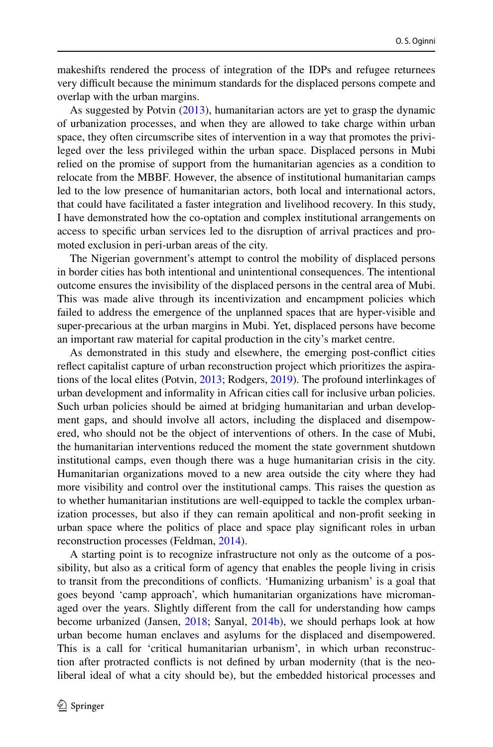makeshifts rendered the process of integration of the IDPs and refugee returnees very difcult because the minimum standards for the displaced persons compete and overlap with the urban margins.

As suggested by Potvin ([2013\)](#page-20-5), humanitarian actors are yet to grasp the dynamic of urbanization processes, and when they are allowed to take charge within urban space, they often circumscribe sites of intervention in a way that promotes the privileged over the less privileged within the urban space. Displaced persons in Mubi relied on the promise of support from the humanitarian agencies as a condition to relocate from the MBBF. However, the absence of institutional humanitarian camps led to the low presence of humanitarian actors, both local and international actors, that could have facilitated a faster integration and livelihood recovery. In this study, I have demonstrated how the co-optation and complex institutional arrangements on access to specifc urban services led to the disruption of arrival practices and promoted exclusion in peri-urban areas of the city.

The Nigerian government's attempt to control the mobility of displaced persons in border cities has both intentional and unintentional consequences. The intentional outcome ensures the invisibility of the displaced persons in the central area of Mubi. This was made alive through its incentivization and encampment policies which failed to address the emergence of the unplanned spaces that are hyper-visible and super-precarious at the urban margins in Mubi. Yet, displaced persons have become an important raw material for capital production in the city's market centre.

As demonstrated in this study and elsewhere, the emerging post-confict cities refect capitalist capture of urban reconstruction project which prioritizes the aspirations of the local elites (Potvin, [2013](#page-20-5); Rodgers, [2019](#page-21-8)). The profound interlinkages of urban development and informality in African cities call for inclusive urban policies. Such urban policies should be aimed at bridging humanitarian and urban development gaps, and should involve all actors, including the displaced and disempowered, who should not be the object of interventions of others. In the case of Mubi, the humanitarian interventions reduced the moment the state government shutdown institutional camps, even though there was a huge humanitarian crisis in the city. Humanitarian organizations moved to a new area outside the city where they had more visibility and control over the institutional camps. This raises the question as to whether humanitarian institutions are well-equipped to tackle the complex urbanization processes, but also if they can remain apolitical and non-proft seeking in urban space where the politics of place and space play signifcant roles in urban reconstruction processes (Feldman, [2014\)](#page-19-21).

A starting point is to recognize infrastructure not only as the outcome of a possibility, but also as a critical form of agency that enables the people living in crisis to transit from the preconditions of conficts. 'Humanizing urbanism' is a goal that goes beyond 'camp approach', which humanitarian organizations have micromanaged over the years. Slightly diferent from the call for understanding how camps become urbanized (Jansen, [2018;](#page-19-12) Sanyal, [2014b](#page-21-0)), we should perhaps look at how urban become human enclaves and asylums for the displaced and disempowered. This is a call for 'critical humanitarian urbanism', in which urban reconstruction after protracted conficts is not defned by urban modernity (that is the neoliberal ideal of what a city should be), but the embedded historical processes and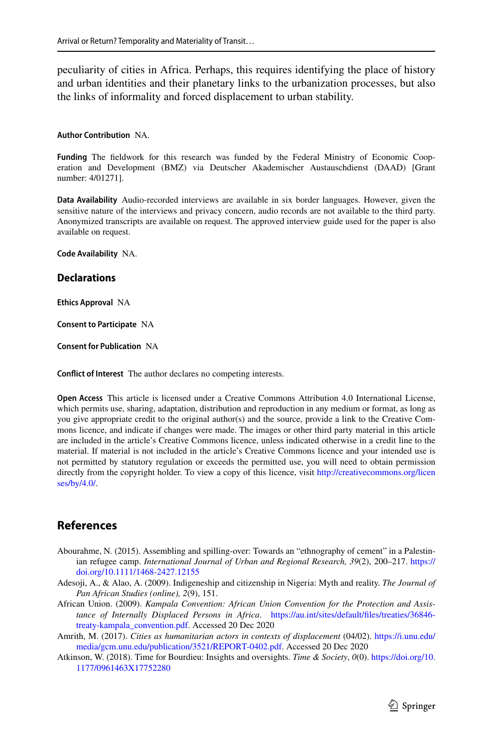peculiarity of cities in Africa. Perhaps, this requires identifying the place of history and urban identities and their planetary links to the urbanization processes, but also the links of informality and forced displacement to urban stability.

#### **Author Contribution** NA.

**Funding** The feldwork for this research was funded by the Federal Ministry of Economic Cooperation and Development (BMZ) via Deutscher Akademischer Austauschdienst (DAAD) [Grant number: 4/01271].

**Data Availability** Audio-recorded interviews are available in six border languages. However, given the sensitive nature of the interviews and privacy concern, audio records are not available to the third party. Anonymized transcripts are available on request. The approved interview guide used for the paper is also available on request.

**Code Availability** NA.

#### **Declarations**

**Ethics Approval** NA

**Consent to Participate** NA

**Consent for Publication** NA

**Confict of Interest** The author declares no competing interests.

**Open Access** This article is licensed under a Creative Commons Attribution 4.0 International License, which permits use, sharing, adaptation, distribution and reproduction in any medium or format, as long as you give appropriate credit to the original author(s) and the source, provide a link to the Creative Commons licence, and indicate if changes were made. The images or other third party material in this article are included in the article's Creative Commons licence, unless indicated otherwise in a credit line to the material. If material is not included in the article's Creative Commons licence and your intended use is not permitted by statutory regulation or exceeds the permitted use, you will need to obtain permission directly from the copyright holder. To view a copy of this licence, visit [http://creativecommons.org/licen](http://creativecommons.org/licenses/by/4.0/) [ses/by/4.0/](http://creativecommons.org/licenses/by/4.0/).

# **References**

- <span id="page-18-1"></span>Abourahme, N. (2015). Assembling and spilling-over: Towards an "ethnography of cement" in a Palestinian refugee camp. *International Journal of Urban and Regional Research, 39*(2), 200–217. [https://](https://doi.org/10.1111/1468-2427.12155) [doi.org/10.1111/1468-2427.12155](https://doi.org/10.1111/1468-2427.12155)
- <span id="page-18-4"></span>Adesoji, A., & Alao, A. (2009). Indigeneship and citizenship in Nigeria: Myth and reality. *The Journal of Pan African Studies (online), 2*(9), 151.
- <span id="page-18-2"></span>African Union. (2009). *Kampala Convention: African Union Convention for the Protection and Assistance of Internally Displaced Persons in Africa*. [https://au.int/sites/default/fles/treaties/36846](https://au.int/sites/default/files/treaties/36846-treaty-kampala_convention.pdf) [treaty-kampala\\_convention.pdf.](https://au.int/sites/default/files/treaties/36846-treaty-kampala_convention.pdf) Accessed 20 Dec 2020
- <span id="page-18-0"></span>Amrith, M. (2017). *Cities as humanitarian actors in contexts of displacement* (04/02). [https://i.unu.edu/](https://i.unu.edu/media/gcm.unu.edu/publication/3521/REPORT-0402.pdf) [media/gcm.unu.edu/publication/3521/REPORT-0402.pdf](https://i.unu.edu/media/gcm.unu.edu/publication/3521/REPORT-0402.pdf). Accessed 20 Dec 2020
- <span id="page-18-3"></span>Atkinson, W. (2018). Time for Bourdieu: Insights and oversights. *Time & Society*, *0*(0). [https://doi.org/10.](https://doi.org/10.1177/0961463X17752280) [1177/0961463X17752280](https://doi.org/10.1177/0961463X17752280)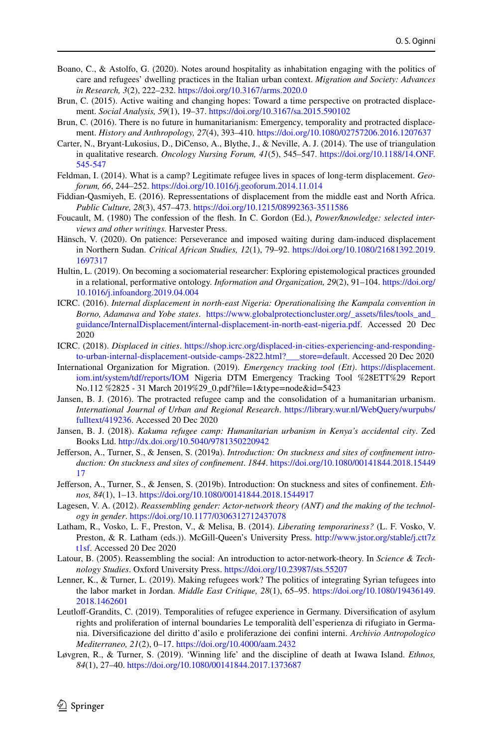- <span id="page-19-13"></span>Boano, C., & Astolfo, G. (2020). Notes around hospitality as inhabitation engaging with the politics of care and refugees' dwelling practices in the Italian urban context. *Migration and Society: Advances in Research, 3*(2), 222–232. <https://doi.org/10.3167/arms.2020.0>
- <span id="page-19-5"></span>Brun, C. (2015). Active waiting and changing hopes: Toward a time perspective on protracted displacement. *Social Analysis, 59*(1), 19–37.<https://doi.org/10.3167/sa.2015.590102>
- <span id="page-19-19"></span>Brun, C. (2016). There is no future in humanitarianism: Emergency, temporality and protracted displacement. *History and Anthropology, 27*(4), 393–410.<https://doi.org/10.1080/02757206.2016.1207637>
- <span id="page-19-17"></span>Carter, N., Bryant-Lukosius, D., DiCenso, A., Blythe, J., & Neville, A. J. (2014). The use of triangulation in qualitative research. *Oncology Nursing Forum, 41*(5), 545–547. [https://doi.org/10.1188/14.ONF.](https://doi.org/10.1188/14.ONF.545-547) [545-547](https://doi.org/10.1188/14.ONF.545-547)
- <span id="page-19-21"></span>Feldman, I. (2014). What is a camp? Legitimate refugee lives in spaces of long-term displacement. *Geoforum, 66*, 244–252.<https://doi.org/10.1016/j.geoforum.2014.11.014>
- <span id="page-19-14"></span>Fiddian-Qasmiyeh, E. (2016). Repressentations of displacement from the middle east and North Africa. *Public Culture, 28*(3), 457–473.<https://doi.org/10.1215/08992363-3511586>
- <span id="page-19-20"></span>Foucault, M. (1980) The confession of the fesh. In C. Gordon (Ed.), *Power/knowledge: selected interviews and other writings.* Harvester Press.
- <span id="page-19-6"></span>Hänsch, V. (2020). On patience: Perseverance and imposed waiting during dam-induced displacement in Northern Sudan. *Critical African Studies, 12*(1), 79–92. [https://doi.org/10.1080/21681392.2019.](https://doi.org/10.1080/21681392.2019.1697317) [1697317](https://doi.org/10.1080/21681392.2019.1697317)
- <span id="page-19-9"></span>Hultin, L. (2019). On becoming a sociomaterial researcher: Exploring epistemological practices grounded in a relational, performative ontology. *Information and Organization, 29*(2), 91–104. [https://doi.org/](https://doi.org/10.1016/j.infoandorg.2019.04.004) [10.1016/j.infoandorg.2019.04.004](https://doi.org/10.1016/j.infoandorg.2019.04.004)
- <span id="page-19-4"></span>ICRC. (2016). *Internal displacement in north-east Nigeria: Operationalising the Kampala convention in Borno, Adamawa and Yobe states*. [https://www.globalprotectioncluster.org/\\_assets/fles/tools\\_and\\_](https://www.globalprotectioncluster.org/_assets/files/tools_and_guidance/InternalDisplacement/internal-displacement-in-north-east-nigeria.pdf) [guidance/InternalDisplacement/internal-displacement-in-north-east-nigeria.pdf](https://www.globalprotectioncluster.org/_assets/files/tools_and_guidance/InternalDisplacement/internal-displacement-in-north-east-nigeria.pdf). Accessed 20 Dec 2020
- <span id="page-19-3"></span>ICRC. (2018). *Displaced in cities*. [https://shop.icrc.org/displaced-in-cities-experiencing-and-responding](https://shop.icrc.org/displaced-in-cities-experiencing-and-responding-to-urban-internal-displacement-outside-camps-2822.html?___store=default.)[to-urban-internal-displacement-outside-camps-2822.html?\\_\\_\\_store=default.](https://shop.icrc.org/displaced-in-cities-experiencing-and-responding-to-urban-internal-displacement-outside-camps-2822.html?___store=default.) Accessed 20 Dec 2020
- <span id="page-19-2"></span>International Organization for Migration. (2019). *Emergency tracking tool (Ett)*. [https://displacement.](https://displacement.iom.int/system/tdf/reports/IOM) [iom.int/system/tdf/reports/IOM](https://displacement.iom.int/system/tdf/reports/IOM) Nigeria DTM Emergency Tracking Tool %28ETT%29 Report No.112 %2825 - 31 March 2019%29\_0.pdf?fle=1&type=node&id=5423
- <span id="page-19-1"></span>Jansen, B. J. (2016). The protracted refugee camp and the consolidation of a humanitarian urbanism. *International Journal of Urban and Regional Research*. [https://library.wur.nl/WebQuery/wurpubs/](https://library.wur.nl/WebQuery/wurpubs/fulltext/419236) [fulltext/419236](https://library.wur.nl/WebQuery/wurpubs/fulltext/419236). Accessed 20 Dec 2020
- <span id="page-19-12"></span>Jansen, B. J. (2018). *Kakuma refugee camp: Humanitarian urbanism in Kenya's accidental city*. Zed Books Ltd. [http://dx.doi.org/10.5040/9781350220942](https://doi.org/10.5040/9781350220942)
- <span id="page-19-8"></span>Jeferson, A., Turner, S., & Jensen, S. (2019a). *Introduction: On stuckness and sites of confnement introduction: On stuckness and sites of confnement*. *1844*. [https://doi.org/10.1080/00141844.2018.15449](https://doi.org/10.1080/00141844.2018.1544917) [17](https://doi.org/10.1080/00141844.2018.1544917)
- <span id="page-19-7"></span>Jeferson, A., Turner, S., & Jensen, S. (2019b). Introduction: On stuckness and sites of confnement. *Ethnos, 84*(1), 1–13.<https://doi.org/10.1080/00141844.2018.1544917>
- <span id="page-19-10"></span>Lagesen, V. A. (2012). *Reassembling gender: Actor-network theory (ANT) and the making of the technology in gender*. <https://doi.org/10.1177/0306312712437078>
- <span id="page-19-18"></span>Latham, R., Vosko, L. F., Preston, V., & Melisa, B. (2014). *Liberating temporariness?* (L. F. Vosko, V. Preston, & R. Latham (eds.)). McGill-Queen's University Press. [http://www.jstor.org/stable/j.ctt7z](http://www.jstor.org/stable/j.ctt7zt1sf) [t1sf](http://www.jstor.org/stable/j.ctt7zt1sf). Accessed 20 Dec 2020
- <span id="page-19-11"></span>Latour, B. (2005). Reassembling the social: An introduction to actor-network-theory. In *Science & Technology Studies*. Oxford University Press.<https://doi.org/10.23987/sts.55207>
- <span id="page-19-0"></span>Lenner, K., & Turner, L. (2019). Making refugees work? The politics of integrating Syrian tefugees into the labor market in Jordan. *Middle East Critique, 28*(1), 65–95. [https://doi.org/10.1080/19436149.](https://doi.org/10.1080/19436149.2018.1462601) [2018.1462601](https://doi.org/10.1080/19436149.2018.1462601)
- <span id="page-19-15"></span>Leutlof-Grandits, C. (2019). Temporalities of refugee experience in Germany. Diversifcation of asylum rights and proliferation of internal boundaries Le temporalità dell'esperienza di rifugiato in Germania. Diversifcazione del diritto d'asilo e proliferazione dei confni interni. *Archivio Antropologico Mediterraneo, 21*(2), 0–17.<https://doi.org/10.4000/aam.2432>
- <span id="page-19-16"></span>Løvgren, R., & Turner, S. (2019). 'Winning life' and the discipline of death at Iwawa Island. *Ethnos, 84*(1), 27–40.<https://doi.org/10.1080/00141844.2017.1373687>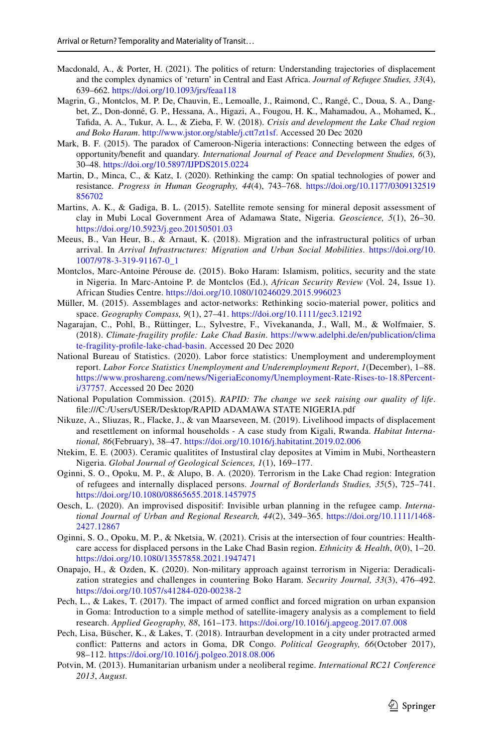- <span id="page-20-0"></span>Macdonald, A., & Porter, H. (2021). The politics of return: Understanding trajectories of displacement and the complex dynamics of 'return' in Central and East Africa. *Journal of Refugee Studies, 33*(4), 639–662.<https://doi.org/10.1093/jrs/feaa118>
- <span id="page-20-2"></span>Magrin, G., Montclos, M. P. De, Chauvin, E., Lemoalle, J., Raimond, C., Rangé, C., Doua, S. A., Dangbet, Z., Don-donné, G. P., Hessana, A., Higazi, A., Fougou, H. K., Mahamadou, A., Mohamed, K., Tafda, A. A., Tukur, A. L., & Zieba, F. W. (2018). *Crisis and development the Lake Chad region and Boko Haram*. <http://www.jstor.org/stable/j.ctt7zt1sf>. Accessed 20 Dec 2020
- <span id="page-20-10"></span>Mark, B. F. (2015). The paradox of Cameroon-Nigeria interactions: Connecting between the edges of opportunity/beneft and quandary. *International Journal of Peace and Development Studies, 6*(3), 30–48.<https://doi.org/10.5897/IJPDS2015.0224>
- <span id="page-20-8"></span>Martin, D., Minca, C., & Katz, I. (2020). Rethinking the camp: On spatial technologies of power and resistance. *Progress in Human Geography, 44*(4), 743–768. [https://doi.org/10.1177/0309132519](https://doi.org/10.1177/0309132519856702) [856702](https://doi.org/10.1177/0309132519856702)
- <span id="page-20-18"></span>Martins, A. K., & Gadiga, B. L. (2015). Satellite remote sensing for mineral deposit assessment of clay in Mubi Local Government Area of Adamawa State, Nigeria. *Geoscience, 5*(1), 26–30. <https://doi.org/10.5923/j.geo.20150501.03>
- <span id="page-20-9"></span>Meeus, B., Van Heur, B., & Arnaut, K. (2018). Migration and the infrastructural politics of urban arrival. In *Arrival Infrastructures: Migration and Urban Social Mobilities*. [https://doi.org/10.](https://doi.org/10.1007/978-3-319-91167-0_1) [1007/978-3-319-91167-0\\_1](https://doi.org/10.1007/978-3-319-91167-0_1)
- <span id="page-20-11"></span>Montclos, Marc-Antoine Pérouse de. (2015). Boko Haram: Islamism, politics, security and the state in Nigeria. In Marc-Antoine P. de Montclos (Ed.), *African Security Review* (Vol. 24, Issue 1). African Studies Centre. <https://doi.org/10.1080/10246029.2015.996023>
- <span id="page-20-6"></span>Müller, M. (2015). Assemblages and actor-networks: Rethinking socio-material power, politics and space. *Geography Compass, 9*(1), 27–41. <https://doi.org/10.1111/gec3.12192>
- <span id="page-20-12"></span>Nagarajan, C., Pohl, B., Rüttinger, L., Sylvestre, F., Vivekananda, J., Wall, M., & Wolfmaier, S. (2018). *Climate-fragility profle: Lake Chad Basin*. [https://www.adelphi.de/en/publication/clima](https://www.adelphi.de/en/publication/climate-fragility-profile-lake-chad-basin) [te-fragility-profle-lake-chad-basin.](https://www.adelphi.de/en/publication/climate-fragility-profile-lake-chad-basin) Accessed 20 Dec 2020
- <span id="page-20-14"></span>National Bureau of Statistics. (2020). Labor force statistics: Unemployment and underemployment report. *Labor Force Statistics Unemployment and Underemployment Report*, *1*(December), 1–88. [https://www.proshareng.com/news/NigeriaEconomy/Unemployment-Rate-Rises-to-18.8Percent](https://www.proshareng.com/news/NigeriaEconomy/Unemployment-Rate-Rises-to-18.8Percent-i/37757)[i/37757](https://www.proshareng.com/news/NigeriaEconomy/Unemployment-Rate-Rises-to-18.8Percent-i/37757). Accessed 20 Dec 2020
- <span id="page-20-13"></span>National Population Commission. (2015). *RAPID: The change we seek raising our quality of life*. fle:///C:/Users/USER/Desktop/RAPID ADAMAWA STATE NIGERIA.pdf
- <span id="page-20-7"></span>Nikuze, A., Sliuzas, R., Flacke, J., & van Maarseveen, M. (2019). Livelihood impacts of displacement and resettlement on informal households - A case study from Kigali, Rwanda. *Habitat International, 86*(February), 38–47.<https://doi.org/10.1016/j.habitatint.2019.02.006>
- <span id="page-20-19"></span>Ntekim, E. E. (2003). Ceramic qualitites of Instustiral clay deposites at Vimim in Mubi, Northeastern Nigeria. *Global Journal of Geological Sciences, 1*(1), 169–177.
- <span id="page-20-3"></span>Oginni, S. O., Opoku, M. P., & Alupo, B. A. (2020). Terrorism in the Lake Chad region: Integration of refugees and internally displaced persons. *Journal of Borderlands Studies, 35*(5), 725–741. <https://doi.org/10.1080/08865655.2018.1457975>
- <span id="page-20-17"></span>Oesch, L. (2020). An improvised dispositif: Invisible urban planning in the refugee camp. *International Journal of Urban and Regional Research, 44*(2), 349–365. [https://doi.org/10.1111/1468-](https://doi.org/10.1111/1468-2427.12867) [2427.12867](https://doi.org/10.1111/1468-2427.12867)
- <span id="page-20-15"></span>Oginni, S. O., Opoku, M. P., & Nketsia, W. (2021). Crisis at the intersection of four countries: Healthcare access for displaced persons in the Lake Chad Basin region. *Ethnicity & Health*, *0*(0), 1–20. <https://doi.org/10.1080/13557858.2021.1947471>
- <span id="page-20-4"></span>Onapajo, H., & Ozden, K. (2020). Non-military approach against terrorism in Nigeria: Deradicalization strategies and challenges in countering Boko Haram. *Security Journal, 33*(3), 476–492. <https://doi.org/10.1057/s41284-020-00238-2>
- <span id="page-20-1"></span>Pech, L., & Lakes, T. (2017). The impact of armed confict and forced migration on urban expansion in Goma: Introduction to a simple method of satellite-imagery analysis as a complement to feld research. *Applied Geography, 88*, 161–173. <https://doi.org/10.1016/j.apgeog.2017.07.008>
- <span id="page-20-16"></span>Pech, Lisa, Büscher, K., & Lakes, T. (2018). Intraurban development in a city under protracted armed confict: Patterns and actors in Goma, DR Congo. *Political Geography, 66*(October 2017), 98–112. <https://doi.org/10.1016/j.polgeo.2018.08.006>
- <span id="page-20-5"></span>Potvin, M. (2013). Humanitarian urbanism under a neoliberal regime. *International RC21 Conference 2013*, *August*.